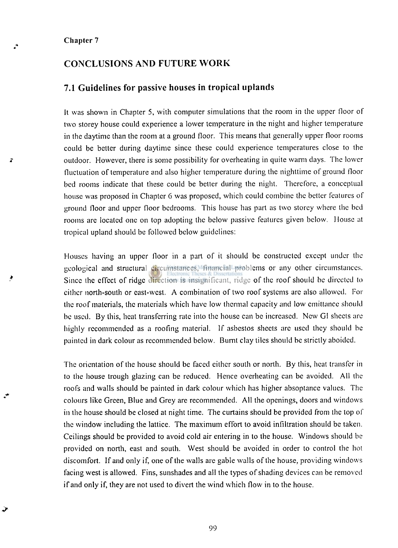#### **Chapter 7**

→

### **CONCLUSIONS AND FUTURE WORK**

#### **7.1 Guidelines for passive houses in tropical uplands**

It was shown in Chapter **5,** with computer simulations that the room in the upper floor of two storey house could experience a lower temperature in the night and higher temperature in the daytime than the room at a ground floor. This means that generally upper floor rooms could be better during daytime since these could experience temperatures close to the outdoor. However, there is some possibility for overheating in quite warm days. The lower fluctuation of temperature and also higher temperature during the nighttime of ground floor bed rooms indicate that these could be better during the night. Therefore, a conceptual house was proposed in Chapter 6 was proposed, which could combine the better features of ground floor and upper floor bedrooms. This house has part as two storey where the bed rooms are located one on top adopting the below passive features given below. House at tropical upland should be followed below guidelines:

Houses having an upper floor in a part of it should be constructed except under the geological and structural circumstances, financial problems or any other circumstances. Since the effect of ridge direction is insignificant, ridge of the roof should be directed to cither north-south or east-west. A combination of two roof systems arc also allowed. For the roof materials, the materials which have low thermal capacity and low omittance should be used. By this, heat transferring rate into the house can be increased. New GI sheets are highly recommended as a roofing material, lf asbestos sheets arc used they should be painted in dark colour as recommended below. Burnt clay tiles should be strictly aboided.

The orientation of the house should be faced either south or north. By this, heat transfer in to the house trough glazing can be reduced. Hence overheating can be avoided. All the roofs and walls should be painted in dark colour which has higher absoptance values. The colours like Green, Blue and Grey are recommended. All the openings, doors and windows in the house should be closed at night time. The curtains should be provided from the top of the window including the lattice. The maximum effort to avoid infiltration should be taken. Ceilings should be provided to avoid cold air entering in to the house. Windows should be provided on north, east and south. West should be avoided in order to control the hot discomfort. If and only if, one of the walls are gable walls of the house, providing windows facing west is allowed. Fins, sunshades and all the types of shading devices can be removed if and only if, they are not used to divert the wind which flow in to the house.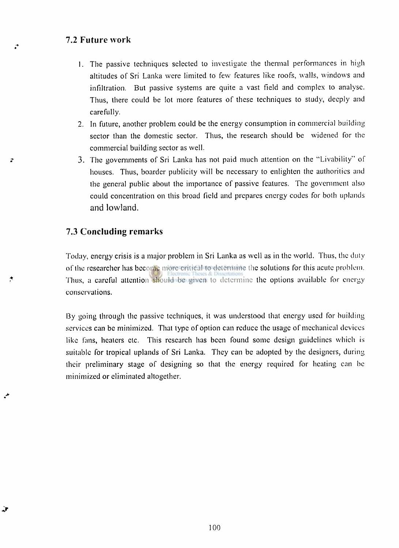### **7.2 Future work**

- 1. The passive techniques selected to investigate the thermal performances in high altitudes of Sri Lanka were limited to few features like roofs, walls, windows and infiltration. But passive systems are quite a vast field and complex to analyse. Thus, there could be lot more features of these techniques to study, deeply and carefully.
- 2. In future, another problem could be the energy consumption in commercial building sector than the domestic sector. Thus, the research should be widened for the commercial building sector as well.
- 3. The governments of Sri Lanka has not paid much attention on the "Livability" of houses. Thus, boarder publicity will be necessary to enlighten the authorities and the general public about the importance of passive features. The government also could concentration on this broad field and prepares energy codes for both uplands and lowland.

### **7.3 Concluding remarks**

¥

Today, energy crisis is a major problem in Sri Lanka as well as in the world. Thus, the duty of the researcher has become more critical to determine the solutions for this acute problem. Thus, a careful attention should be given to determine the options available for energy conservations.

By going through the passive techniques, it was understood that energy used for building services can be minimized. That type of option can reduce the usage of mechanical devices like fans, heaters etc. This research has been found some design guidelines which is suitable for tropical uplands of Sri Lanka. They can be adopted by the designers, during their preliminary stage of designing so that the energy required for heating can he minimized or eliminated altogether.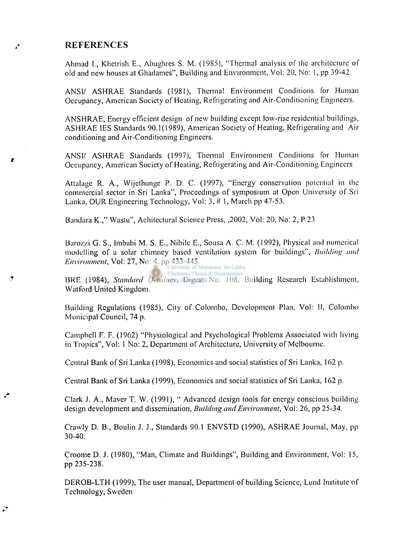### **REFERENCES**

 $\mathbf{r}$ 

 $\mathbf{r}$ 

 $\mathbf{r}$ 

Ahmad I., Khetrish E., Abughres S. M. (19S5), "Thermal analysis of the architecture of old and new houses at Ghadames", Building and Environment, Vol: 20, No: 1, pp 39-42.

ANSI/ ASHRAE Standards (1981), Thermal Environment Conditions for Human Occupancy, American Society of Heating, Refrigerating and Air-Conditioning Engineers.

ANSHRAE, Energy efficient design of new building except low-rise residential buildings, ASHRAE IES Standards 90.1(1989), American Society of Heating, Refrigerating and Air conditioning and Air-Conditioning Engineers.

ANSI/ ASHRAE Standards (1997), Thermal Environment Conditions for Human Occupancy, American Society of Heating, Refrigerating and Air-Conditioning Engineers

Attalage R. A., Wijethunge P. D. C. (1997), "Energy conservation potential in the commercial sector in Sri Lanka", Proceedings of symposium at Open University of Sri Lanka, OUR Engineering Technology, Vol: 3, # 1, March pp 47-53.

Bandara K.," Wastu", Achitectural Science Press, ,2002, Vol: 20, No: 2, P 23

Barozzi G. S., Imbabi M. S. E., Nibile E., Sousa A. C. M. (1992), Physical and numerical modelling of a solar chimney based ventilation system for buildings", *Building and Environment,* Vol: 27, No: 4, pp 433-445.

13RE (1984), *Standard U-valucs,* Digest No: 108, Building Research Establishment, Watford United Kingdom.

Building Regulations (1985), City of Colombo, Development Plan, Vol: II, Colombo Municipal Council, 74 p.

Campbell F. F. (1962) "Physiological and Psychological Problems Associated with living in Tropics", Vol: 1 No: 2, Department of Architecture, University of Melbourne.

Central Bank of Sri Lanka (1998), Economics and social statistics of Sri Lanka, 162 p.

Central Bank of Sri Lanka (1999), Economics and social statistics of Sri Lanka, 162 p.

Clark J. A., Maver T. W. (1991), " Advanced design tools for energy conscious building design development and dissemination, *Building and Environment,* Vol: 26, pp 25-34.

Crawly D. B., Boulin J. J., Standards 90.1 ENVSTD (1990), ASHRAE Journal, May, pp 30-40.

Croome D. J. (1980), "Man, Climate and Buildings", Building and Environment, Vol: 15, pp 235-238.

DEROB-LTH (1999), The user manual, Department of building Science, Lund Institute of Technology, Sweden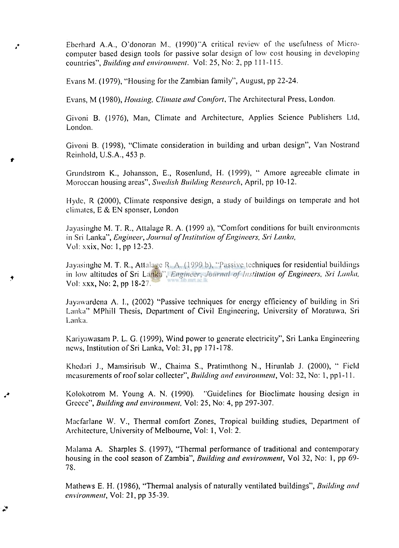Ebcrhard A.A., O'donoran M., (1990)"A critical review of the usefulness of Microcomputer based design tools for passive solar design of low cost housing in developing countries", *Building and environment.* Vol: 25, No: 2, pp 111-115.

Evans M. (1979), "Housing for the Zambian family", August, pp 22-24.

 $\cdot$ 

 $\mathbf{r}$ 

Evans, M (1980), *Housing, Climate and Comfort,* The Architectural Press, London.

Givoni B. (1976), Man, Climate and Architecture, Applies Science Publishers Ltd, London.

Givoni B. (1998), "Climate consideration in building and urban design", Van Nostrand Reinhold, U.S.A., 453 p.

Grundstrom K., Johansson, E., Rosenlund, H. (1999), " Amore agreeable climate in Moroccan housing areas", *Swedish Building Research,* April, pp 10-12.

Hyde, R (2000), Climate responsive design, a study of buildings on temperate and hot climates, E & EN sponser, London

Jayasinghe M. T. R., Atlalage R. A. (1999 a), "Comfort conditions for built environments in Sri Lanka", *Engineer, Journal of Institution of Engineers, Sri Lanka,*  Vol: xxix, No: 1, pp 12-23.

Jayasinghe M. T. R, Attalagc R. A. (1999 b), "Passive techniques for residential buildings in low altitudes of Sri Lanka", *Engineer, Journal of Institution of Engineers, Sri Lanka,*  www.lib.mrt.ac.lk Vol: xxx, No: 2, pp 18-27.

.layawardena A. I., (2002) "Passive techniques for energy efficiency of building in Sri Lanka" MPhill Thesis, Department of Civil Engineering, University of Moratuwa, Sri Lanka.

Katiyawasam P. L. G. (1999), Wind power to generate electricity", Sri Lanka Engineering news, Institution of Sri Lanka, Vol: 31, pp 171-178.

Khcdari J., Mamsirisub W., Chaima S., Pratimthong N., Hirunlab J. (2000), " Field measurements of roof solar collecter", *Building and environment,* Vol: 32, No: 1, pp 1-11.

Kolokotrom M. Young A. N. (1990). "Guidelines for Bioclimate housing design in Greece", *Building and environment.* Vol: 25, No: 4, pp 297-307.

Macfarlane W. V., Thermal comfort Zones, Tropical building studies, Department of Architecture, University of Melbourne, Vol: 1, Vol: 2.

Malama A. Sharpies S. (1997), "Thermal performance of traditional and contemporary housing in the cool season of Zambia", *Building and environment,* Vol 32, No: 1, pp 69- 78.

Mathews E. H. (1986), "Thermal analysis of naturally ventilated buildings", *Building and environment,* Vol: 21 , pp 35-39.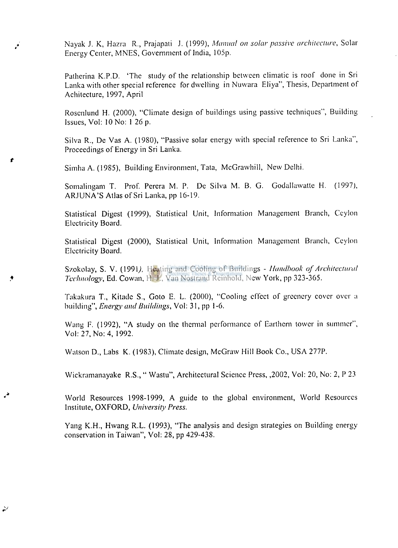Nayak J. K, Hazra R., Prajapati J. (1999), *Manual on solar passive architecture,* Solar Energy Center, MNES, Government of India, 105p.

Patherina K.P.D. 'The study of the relationship between climatic is roof done in Sri Lanka with other special reference for dwelling in Nuwara Eliya", Thesis, Department of Achitecture, 1997, April

Rosenlund H. (2000), "Climate design of buildings using passive techniques", Building Issues, Vol: 10 No: 1 26 p.

Silva R., De Vas A. (1980), "Passive solar energy with special reference to Sri Lanka", Proceedings of Energy in Sri Lanka.

Simha A. (1985), Building Environment, Tata, McGrawhill, New Delhi.

 $\boldsymbol{r}$ 

 $\mathcal{P}$ 

Somalingam T. Prof. Perera M. P. De Silva M. B. G. Godallawalte H. (1997), ARJUNA'S Atlas of Sri Lanka, pp 16-19.

Statistical Digest (1999), Statistical Unit, Information Management Branch, Ceylon Electricity Board.

Statistical Digest (2000), Statistical Unit, Information Management Branch, Ceylon Electricity Board.

Szokolay, S. V. (1991). Heating and Cooling of Buildings - *Handbook of Architectural Technology,* Ed. Cowan, H. J., Van Nostrand Rcinhold, New York, pp 323-365.

Takakura T., Kitade S., Goto E. L. (2000), "Cooling effect of greenery cover over a building", *Energy and Buildings,* Vol: 31, pp 1-6.

Wang F. (1992), "A study on the thermal performance of Earthern lower in summer", Vol: 27, No: 4, 1992.

Walson D., Labs K. (1983), Climate design, McGraw Hill Book Co., USA 277P.

Wickramanayake R.S., " Wastu", Architectural Science Press, ,2002, Vol: 20, No: 2, P 23

World Resources 1998-1999, A guide to the global environment, World Resources Institute, OXFORD, *University Press.* 

Yang K.H., Hwang R.L. (1993), "The analysis and design strategies on Building energy conservation in Taiwan", Vol: 28, pp 429-438.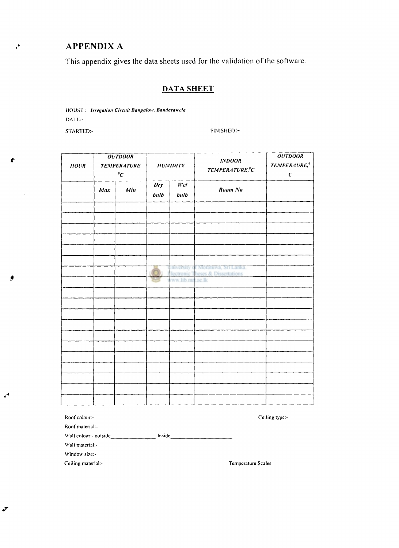# **APPENDIX A**

 $\mathcal{F}$ 

 $\pmb{f}$ 

This appendix gives the data sheets used for the validation of the software.

## **DATA SHEET**

HOUSE: Irregation Circuit Bangalow, Bandarawela DATE:-

STARTED:-

FINISHED:-

| HOL/R |     | <b>OUTDOOR</b><br><b>TEMPERATURE</b><br>$^o\!C$ |                      | <b>HUMIDITY</b>             | <b>INDOOR</b><br>TEMPERATURE, <sup>°</sup> C                                      | <b>OUTDOOR</b><br><b>TEMPERAURE,<sup>®</sup></b><br>$\pmb{C}$ |
|-------|-----|-------------------------------------------------|----------------------|-----------------------------|-----------------------------------------------------------------------------------|---------------------------------------------------------------|
|       | Max | Min                                             | $Dr_{\rm F}$<br>bulb | $\overline{W_{el}}$<br>bulb | Room No                                                                           |                                                               |
|       |     |                                                 |                      |                             |                                                                                   |                                                               |
|       |     |                                                 |                      |                             |                                                                                   |                                                               |
|       |     |                                                 |                      | eww.lib.mrt.ac.lk           | Jaiversity of Moratuwa, Sri Lanka.<br><b>Tectronic Theses &amp; Dissertations</b> |                                                               |
|       |     |                                                 |                      |                             |                                                                                   |                                                               |
|       |     |                                                 |                      |                             |                                                                                   |                                                               |
|       |     |                                                 |                      |                             |                                                                                   |                                                               |
|       |     |                                                 |                      |                             |                                                                                   |                                                               |
|       |     |                                                 |                      |                             |                                                                                   |                                                               |

| Roof colour:-                            | Ceiling type:- |
|------------------------------------------|----------------|
| Roof material:-                          |                |
| Wall colour:- outside<br>Inside          |                |
| Wall material:-                          |                |
| Window size:-                            |                |
| Ceiling material:-<br>Temperature Scales |                |

 $\boldsymbol{\tau}$ 

◢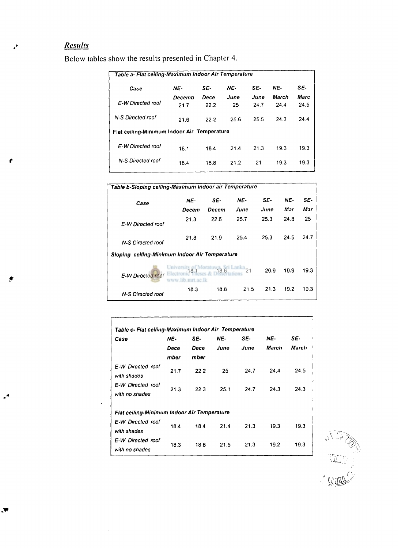# *Results*

 $\mathsf{r}$ 

لحم

 $\cdot^4$ 

A,

Below tables show the results presented in Chapter **4.** 

| 'Table a- Flat ceiling-Maximum Indoor Air Temperature |        |      |      |      |       |      |
|-------------------------------------------------------|--------|------|------|------|-------|------|
| Case                                                  | NE-    | SE-  | NE-  | SE-  | NE-   | SE-  |
|                                                       | Decemb | Dece | June | June | March | Marc |
| E-W Directed roof                                     | 21.7   | 22.2 | 25   | 24.7 | 24.4  | 24.5 |
| N-S Directed roof                                     |        |      |      |      |       |      |
|                                                       | 21.6   | 22.2 | 25.6 | 25.5 | 24.3  | 24.4 |
| Flat ceiling-Minimum Indoor Air Temperature           |        |      |      |      |       |      |
| E-W Directed roof                                     | 18.1   | 18.4 | 21.4 | 21.3 | 19.3  | 19.3 |
|                                                       |        |      |      |      |       |      |
| N-S Directed roof                                     | 18.4   | 18.8 | 21.2 | 21   | 19.3  | 19.3 |
|                                                       |        |      |      |      |       |      |

| Table b-Sloping ceiling-Maximum Indoor air Temperature |                                                                     |       |       |      |      |      |
|--------------------------------------------------------|---------------------------------------------------------------------|-------|-------|------|------|------|
| Case                                                   | NE-                                                                 | SE-   | NE-   | SE-  | NE-  | SE-  |
|                                                        | Decem                                                               | Decem | June  | June | Mar  | Mar  |
| E-W Directed roof                                      | 21.3                                                                | 22.6  | 25.7  | 25.3 | 24.8 | 25   |
| N-S Directed roof                                      | 21.8                                                                | 21.9  | 25.4  | 25.3 | 24.5 | 24.7 |
| Sloping ceiling-Minimum Indoor Air Temperature         |                                                                     |       |       |      |      |      |
| E-W Directed roof                                      | University 8.1 Moratuw <sub>18.6</sub> ri Lank<br>www.lib.mrt.ac.lk |       | $-21$ | 20.9 | 19.9 | 19.3 |
| N-S Directed roof                                      | 18.3                                                                | 18.8  | 21.5  | 21.3 | 19.2 | 19.3 |

| Case                                               | NE-  | SE-  | NE-  | SE-  | NE-   | SE-   |
|----------------------------------------------------|------|------|------|------|-------|-------|
|                                                    | Dece | Dece | June | June | March | March |
|                                                    | mber | mber |      |      |       |       |
| E-W Directed roof<br>with shades                   | 21.7 | 22.2 | 25   | 24.7 | 244   | 24.5  |
| E-W Directed roof<br>with no shades                | 21.3 | 22.3 | 25.1 | 24.7 | 24.3  | 24.3  |
| <b>Flat ceiling-Minimum Indoor Air Temperature</b> |      |      |      |      |       |       |
| E-W Directed roof<br>with shades                   | 18.4 | 18.4 | 21.4 | 21.3 | 19.3  | 19.3  |
| E-W Directed roof<br>with no shades                | 18.3 | 18.8 | 21.5 | 21.3 | 19.2  | 19.3  |

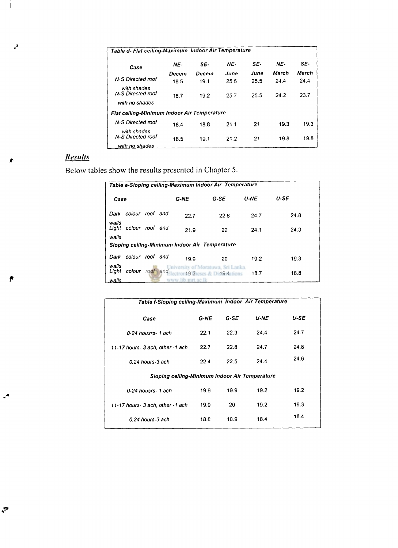| Table d- Flat ceiling-Maximum Indoor Air Temperature |       |       |      |      |       |       |
|------------------------------------------------------|-------|-------|------|------|-------|-------|
| Case                                                 | NE-   | SE-   | NE-  | SE-  | NE-   | SE-   |
|                                                      | Decem | Decem | June | June | March | March |
| N-S Directed roof                                    | 18.5  | 19.1  | 25.6 | 25.5 | 24.4  | 24.4  |
| with shades<br>N-S Directed roof<br>with no shades   | 18.7  | 19.2  | 25.7 | 25.5 | 24.2  | 23.7  |
| Flat ceiling-Minimum Indoor Air Temperature          |       |       |      |      |       |       |
| N-S Directed roof                                    | 18.4  | 18.8  | 21.1 | 21   | 19.3  | 19.3  |
| with shades<br>N-S Directed roof                     | 18.5  | 19.1  | 21.2 | 21   | 19.8  | 19.8  |
| with no shades                                       |       |       |      |      |       |       |

## *Results*

J,

 $\boldsymbol{r}$ 

Below tables show the results presented in Chapter **5.** 

|        |  | $G-ME$                                                            | $G-SE$  | <b>U-NE</b>                                    | U-SE                                                                      |  |
|--------|--|-------------------------------------------------------------------|---------|------------------------------------------------|---------------------------------------------------------------------------|--|
|        |  | 22.7                                                              | 22.8    | 24.7                                           | 24.8                                                                      |  |
|        |  | 21.9                                                              | 22      | 24.1                                           | 24.3                                                                      |  |
|        |  |                                                                   |         |                                                |                                                                           |  |
|        |  | 19.9                                                              | 20      | 19.2                                           | 19.3                                                                      |  |
| colour |  |                                                                   | 0.19.4  | 18.7                                           | 18.8                                                                      |  |
|        |  | colour roof and<br>colour roof and<br>colour roof and<br>roof and | www lib | Sloping ceiling-Minimum Indoor Air Temperature | Table e-Sloping ceiling-Maximum Indoor Air Temperature<br>awa. Sri Lanka. |  |

| Table f-Sloping celling-Maximum Indoor Air Temperature |      |        |             |      |
|--------------------------------------------------------|------|--------|-------------|------|
| Case                                                   | G-NE | $G-SE$ | <b>U-NE</b> | U-SE |
| 0-24 housrs- 1 ach                                     | 22.1 | 22.3   | 24.4        | 24.7 |
| 11-17 hours- 3 ach, other -1 ach                       | 22.7 | 22.8   | 24.7        | 24.8 |
| 0.24 hours-3 ach                                       | 22.4 | 22.5   | 24.4        | 24.6 |
| Sloping ceiling-Minimum Indoor Air Temperature         |      |        |             |      |
| 0-24 housrs- 1 ach                                     | 19.9 | 19.9   | 19.2        | 19.2 |
| 11-17 hours- 3 ach, other -1 ach                       | 19.9 | 20     | 19.2        | 19.3 |
| 0.24 hours-3 ach                                       | 18.8 | 18.9   | 18.4        | 18.4 |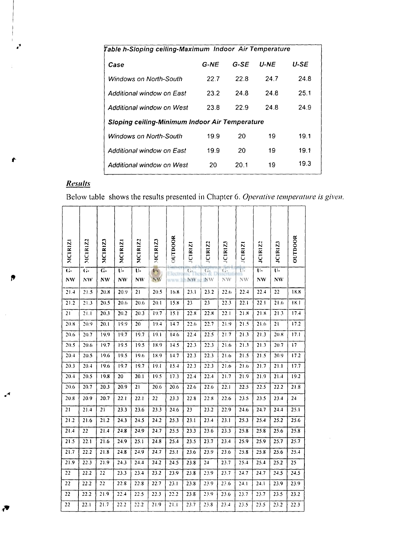| G-NE | G-SE | <b>U-NE</b> | U-SE                                                                                                            |
|------|------|-------------|-----------------------------------------------------------------------------------------------------------------|
| 22.7 | 22 B | 24.7        | 24.8                                                                                                            |
| 23.2 | 24.8 | 24.8        | 25.1                                                                                                            |
| 23.8 | 22.9 | 24.8        | 24.9                                                                                                            |
|      |      |             |                                                                                                                 |
| 19.9 | 20   | 19          | 19.1                                                                                                            |
| 19.9 | 20   | 19          | 19.1                                                                                                            |
| 20   | 20.1 | 19          | 19.3                                                                                                            |
|      |      |             | Table h-Sloping ceiling-Maximum Indoor Air Temperature<br><b>Sloping ceiling-Minimum Indoor Air Temperature</b> |

# *Results*

∙

ß

≁

Below table shows the results presented in Chapter **6.** *Operative temperature is given.* 

| <b>MCIRIZI</b>       | MCIRIZ2 | MCIRIZ               | MCIRIZI  | MCIRIZ2                     | <b>MCIRIZ3</b>       | OUTDOOR          | <b>JCIRIZ</b>     | JCIRIZ <sub>2</sub>         | <b>JCIRIZ3</b>       | <b>JCIRIZ</b>        | JCIRIZ2                     | <b>JCIRIZ3</b>              | OUTDOOR |
|----------------------|---------|----------------------|----------|-----------------------------|----------------------|------------------|-------------------|-----------------------------|----------------------|----------------------|-----------------------------|-----------------------------|---------|
| $\overline{G}$<br>NW | ៊<br>NW | $\overline{G}$<br>NW | π.<br>NW | $\overline{U}$<br><b>NW</b> | $\overline{U}$<br>NW | Electro<br>www.l | $G-$<br><b>NW</b> | $\overline{G}$<br><b>NW</b> | $\overline{G}$<br>NW | $\overline{U}$<br>NW | $\overline{U}$<br><b>NW</b> | $\overline{U}$<br><b>NW</b> |         |
| 21.4                 | 21.5    | 20.8                 | 20.9     | 21                          | 20.5                 | 16.8             | 23.1              | 23.2                        | 22.6                 | 22.4                 | 22.4                        | 22                          | 18.8    |
| 21.2                 | 21.3    | 20.5                 | 20.6     | 20.6                        | 20.1                 | 15.8             | 23                | 23                          | 22.3                 | 22.1                 | 22.1                        | 21.6                        | 18.1    |
| 21                   | 21.1    | 20.3                 | 20.2     | 20.3                        | 19.7                 | 15.1             | 22.8              | 22.8                        | 22.1                 | 21.8                 | 21.8                        | 21.3                        | 17.4    |
| 20.8                 | 20.9    | 20.1                 | 19.9     | 20                          | 19.4                 | 14.7             | 22.6              | 22.7                        | 21.9                 | 21.5                 | 21.6                        | 21                          | 17.2    |
| 20.6                 | 20.7    | 19.9                 | 19.7     | 19.7                        | 19.1                 | 14.6             | 22.4              | 22.5                        | 21.7                 | 21.3                 | 21.3                        | 20.8                        | 17.1    |
| 20.5                 | 20.6    | 19.7                 | 19.5     | 19.5                        | 18.9                 | 14.5             | 22.3              | 22.3                        | 21.6                 | 21.3                 | 21.3                        | 20.7                        | 17      |
| 20.4                 | 20.5    | 19.6                 | 19.5     | 19.6                        | 18.9                 | 14.7             | 22.3              | 22.3                        | 21.6                 | 21.5                 | 21.5                        | 20.9                        | 17.2    |
| 20.3                 | 20.4    | 19.6                 | 19.7     | 19.7                        | 19.1                 | 15.4             | 22.3              | 22.3                        | 21.6                 | 21.6                 | 21.7                        | 21.1                        | 17.7    |
| 20.4                 | 20.5    | 19.8                 | 20       | 20.1                        | 19.5                 | 17.3             | 22.4              | 22.4                        | 21.7                 | 21.9                 | 21.9                        | 21.4                        | 19.2    |
| 20.6                 | 20.7    | 20.3                 | 20.9     | 21                          | 20.6                 | 20.6             | 22.6              | 22.6                        | 22.1                 | 22.5                 | 22.5                        | 22.2                        | 21.8    |
| 20.8                 | 20.9    | 20.7                 | 22.1     | 22.1                        | 22                   | 23.3             | 22.8              | 22.8                        | 22.6                 | 23.5                 | 23.5                        | 23.4                        | 24      |
| 21                   | 21.4    | 21                   | 23.3     | 23.6                        | 23.3                 | 24.6             | 23                | 23.2                        | 22.9                 | 24.6                 | 24.7                        | 24.4                        | 25.1    |
| 21.2                 | 21.6    | 21.2                 | 24.3     | 24.5                        | 24.2                 | 25.3             | 23.1              | 23.4                        | 23.1                 | 25.3                 | 25.4                        | 25.2                        | 25.6    |
| 21.4                 | 22      | 21.4                 | 24.8     | 24.9                        | 24.7                 | 25.5             | 23.3              | 23.6                        | 23.3                 | 25.8                 | 25.8                        | 25.6                        | 25.8    |
| 21.5                 | 22.1    | 21.6                 | 24.9     | 25.1                        | 24.8                 | 25.4             | 23.5              | 23.7                        | 23.4                 | 25.9                 | 25.9                        | 25.7                        | 25.7    |
| 21.7                 | 22.2    | 21.8                 | 24.8     | 24.9                        | 24.7                 | 25.1             | 23.6              | 23.9                        | 23.6                 | 25.8                 | 25.8                        | 25.6                        | 25.4    |
| 21.9                 | 22.3    | 21.9                 | 24.3     | 24.4                        | 24.2                 | 24.5             | 23.8              | 24                          | 23.7                 | 25.4                 | 25.4                        | 25.2                        | 25      |
| 22                   | 22.2    | 22                   | 23.3     | 23.4                        | 23.2                 | 23.9             | 23.8              | 23.9                        | 23.7                 | 24.7                 | 24.7                        | 24.5                        | 24.5    |
| 22                   | 22.2    | 22                   | 22.8     | 22.8                        | 22.7                 | 23.1             | 23.8              | 23.9                        | 23.6                 | 24.1                 | 24.1                        | 23.9                        | 23.9    |
| 22                   | 22.2    | 21.9                 | 22.4     | 22.5                        | 22.3                 | 22.2             | 23.8              | 23.9                        | 23.6                 | 23.7                 | 23.7                        | 23.5                        | 23.2    |
| 22                   | 22.1    | 21.7                 | 22.2     | 22.2                        | 21.9                 | 21.1             | 23.7              | 23.8                        | 23.4                 | 23.5                 | 23.5                        | 23.2                        | 22.3    |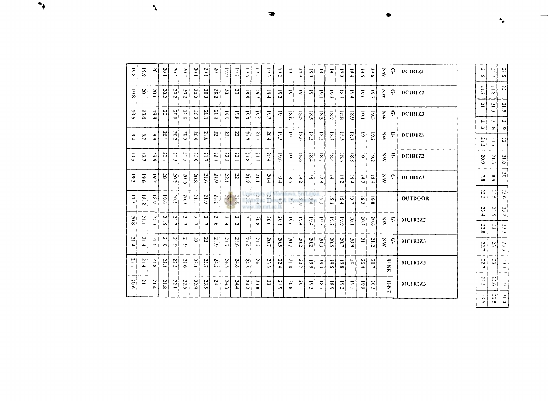| 861              | 661             | $\tilde{\mathbf{c}}$ | $\frac{50}{1}$   | 20.2 | 20.2 | $\ddot{\Xi}$  | 20.1             | $\tilde{c}$         | $\frac{1}{2}$    | 19.7           | 19.6              | $\tilde{e}$     | أدن                      | 19.2             | $\overline{5}$ | $\frac{1}{2}$  | $\overline{\mathbf{x}}$ | Ξ                | $\overline{5}$                  | $\tilde{\epsilon}$      | 5.4               | $\frac{1}{2}$             | 19.6 | ્ર            | ှ             | DCIRIZI         |
|------------------|-----------------|----------------------|------------------|------|------|---------------|------------------|---------------------|------------------|----------------|-------------------|-----------------|--------------------------|------------------|----------------|----------------|-------------------------|------------------|---------------------------------|-------------------------|-------------------|---------------------------|------|---------------|---------------|-----------------|
| 801              | ន               | 100                  | 20.2             | 20.2 | 20.2 | 20.2          | 20.3             | $\frac{20.2}{20.2}$ | 20.1             | $\tilde{c}$    | $\overline{19.9}$ | $\tilde{c}$     | 19,4                     | $\overline{5}$   | 3              | 3              | 3                       | $\leq$           | 19.2                            | $\overline{\mathbf{z}}$ | 19.4              | $-61$                     | 19.7 | ટ્રે          | ှ             | <b>DC1R17.2</b> |
| 501              | $\overline{5}$  | 861                  | 20               | 20.1 | 20.1 | 20.2          | 20.1             | $\frac{20.1}{20}$   | 661              | 8'61           | 19.7              | 19.5            | $\overline{\mathcal{O}}$ | Ξ                | $\frac{8}{3}$  | 18.5           | š                       | 18.5             | $\tilde{\mathbf{a}}$            | 8.8                     | 6'81              | $\overline{5}$            | 19.3 | ર્            | ှ             | DCIR1Z3         |
| $F_{01}$         | $\overline{5}$  | 661                  | 10 <sub>1</sub>  | 20.2 | 20.5 | 50.9          | 918              | 22                  | 22.              | $\mathbf{z}$   | $\frac{21.7}{7}$  | $\frac{21}{1}$  | 20.4                     | ۲Ģ               | Ξ              | 18.6           | $\frac{8}{5}$           | 18.2             | $\boldsymbol{\hat{\mathbf{x}}}$ | $\overline{s}$          | $\overline{18}$   | $\overline{\circ}$        | 19.2 | ટ્ર           | È.            | <b>DC1R1Z1</b>  |
| $\overline{5}$   | $\tilde{19}$    | 661                  | 10 <sub>1</sub>  | 20.3 | 20.5 | 20.9          | 21.7             | 22.1                | 22.2             | 22.1           | 21.8              | 21.3            | 20.4                     | $\overline{6}$   | 3              | $\frac{8}{18}$ | 84                      | 18.2             | $\mathbf{g}$ .                  | 9.81                    | 8.81              | 5                         | 10.2 | ્ર            | ÷.            | DC1R1Z2         |
| 19.2             | $\frac{19}{19}$ | 19.7                 | $\approx$        | 20.2 | 50.5 | 20.8          | 31.6             | 21.9                | 22.1             | $\overline{z}$ | $\frac{21.7}{2}$  | 21.1            | 20.4                     | $\frac{1}{2}$    | 18.6           | 18.2           | $\overline{\mathbf{a}}$ | 17.8             | œ                               | 8.2                     | 8.4               | $\overline{\mathbf{S}}$ . | 18.9 | $\frac{1}{2}$ | ċ.            | <b>DC1R173</b>  |
| $\tilde{\omega}$ | 8.2             | 6.81                 | 9'6              | 20.3 | 20.9 | $\frac{1}{2}$ | 51.9             | 22.2                | $\frac{22.4}{2}$ | 22.5           | 22.4<br><b>WW</b> | $-21.9$<br>.lit | $\sim$<br>ü<br>mrt.      | $\sqrt{61}$<br>B | ЦV<br>7.7      | ăΓ<br>5.9      | 5.4                     | ς,               | 5.4                             | 5.4                     | 51                | $\overline{5}$            | 16.8 |               |               | <b>OUTDOOR</b>  |
| 20.8             | Ë               | $\frac{21.3}{2}$     | $\frac{21.5}{2}$ | 117  | 21.7 | 21.7          | $\frac{21.7}{2}$ | 21.6                | 21.4             | 21.2           | 111               | 20.8            | 20.6                     | 20.1             | 19.61          | 19.4           | 19.4                    | 19.5             | 19.7                            | 661                     | 20.1              | 20.3                      | 20.6 | ટ્ર           | ှ             | MCIR2Z2         |
| $\frac{21.4}{1}$ | م<br>11ء        | $\frac{1}{2}$        | 51.9             | 21.9 | 21.9 | 22            | ZZ               | 51.9                | 21.7             | 21.6           | 21.4              | 21.2            | 20.7                     | 20.5             | 20.2           | 20.2           | 20.2                    | 20.3             | 20.5                            | 20.7                    | $\overline{20.9}$ | $\overline{1}$            | 21.2 | ्र            | ှ             | <b>MC1R2Z3</b>  |
| 117              | 21.4            | 31.8                 | 12.1             | 22.3 | 22.6 | $\frac{1}{2}$ | 23.7             | 24.2                | 24.5             | 24.6           | 24.5              | Z4              | 23.3                     | 22.4             | 21.4           | 20.7           | 661                     | $\overline{c}$   | $\overline{5}$                  | 861                     | 20.1              | 20.4                      | 20.7 |               | C-NE          | <b>MC1R2Z3</b>  |
| 20.6             | ≃               | 21.4                 | 21.8             | 22.1 | 22.5 | 22.9          | 23.5             | 분                   | ここ               | 24.4           | 24.2              | 23.K            | 23.1                     | $\frac{21.9}{2}$ | 20.8           | $\approx$      | $\sum_{i=1}^{n}$        | $\overline{181}$ | $\overline{80}$                 | 10.2                    | 19.5              | $\frac{8}{61}$            | 20.3 |               | $\frac{1}{2}$ | <b>MC1R2Z3</b>  |

| $\frac{1}{2}$    | $\frac{1}{2}$    | $\frac{5}{3}$    |
|------------------|------------------|------------------|
| $\frac{1}{2}$    | 31.8             | Į,               |
| $\overline{2}$   | $\frac{21.3}{2}$ | $\frac{1}{2}$    |
| $\frac{1}{2}$    | 21.6             | $\frac{1}{6}$    |
| $\frac{21.3}{2}$ | $\frac{1}{2}$    | $\frac{1}{2}$    |
| 20.9             | بة<br>أما        | $\frac{1}{2}1.6$ |
| 17.8             | $\frac{1}{2}$    | ین               |
| ین<br>نیا        | ίä,              | 23.6             |
| 23.4             | ر.<br>ن          | 23.7             |
| 22.8             | ں<br>سا          | Σ.               |
| 22.7             | Z                | 23.3             |
| 22.7             | ب<br>برا         | ی<br>ندا         |
| 22.3             | 92.              | 5.0              |
| $\tilde{6}$      | 20.1             | r i d            |

∼

æ

•∙

 $\mathbf{A}$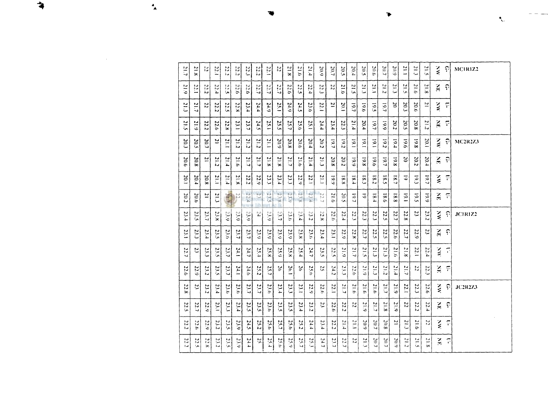| $\frac{1}{2}$           | $\approx$<br>ż.       | 侵              | 22.1               | 22.2             | $\mathbb{C}$<br>دآ | 불<br>÷.        | $\frac{27}{22}$       | 122                                    | 분                 | 812              | 917                 | $\frac{1}{2}$                   | 20.9                  | 20.7                       | 20.5                 | 10.4                        | 20.5                           | 900              | 20.7                  | 20.9                     | 21.1                 | $\frac{21.2}{2}$           | $\frac{21}{2}$ | $\frac{2}{5}$        | ျာ                      | MCIRIZ2         |
|-------------------------|-----------------------|----------------|--------------------|------------------|--------------------|----------------|-----------------------|----------------------------------------|-------------------|------------------|---------------------|---------------------------------|-----------------------|----------------------------|----------------------|-----------------------------|--------------------------------|------------------|-----------------------|--------------------------|----------------------|----------------------------|----------------|----------------------|-------------------------|-----------------|
| $\frac{21.9}{2}$        | $\frac{22}{1}$        | 22.2           | 22.4               | $rac{1}{2}$      | 22.6               | 22.6           | $\frac{227}{7}$       | L G                                    | $\frac{1}{2}$     | $\frac{22.6}{2}$ | 22.5                | 22.4                            | H<br>ىئ               | 22                         | 21.0                 | 512                         | $\frac{5}{2}$                  | $\frac{21}{1}$   | 212                   | 21.3                     | P<br>in.             | 21.6                       | $\frac{12}{3}$ | ΧĘ,                  | ှာ                      |                 |
| بر<br>ت                 | 21.7                  | $\overline{z}$ | 22.2               | $\frac{22.5}{2}$ | 22.8               | 23.4           | 24.4                  | 24.9                                   | 35.1              | 24.9             | 24.5                | 23.6                            | 122.1                 | $\overline{z}$             | 20.1                 | 10.7                        | 0.61                           | 19.5             | $\overline{5}$        | $\sim$                   | 20.3                 | 20.6                       | $\overline{2}$ | $\sum_{i=1}^{n}$     | ÷.                      |                 |
| 21.5                    | 21.9                  | 22<br>iJ.      | 22<br>ö.           | 22.8             | 23.1               | 23.<br>د       | 24.5                  | 25.1                                   | 25<br>مأ          | 25.7             | 25.6                | 25.1                            | 24.4                  | 23.4                       | 22<br>ىن             | 51.4                        | 20.4                           | 19.7             | 661                   | 20.2                     | 20.<br>ما            | $\overline{c}$<br>$\infty$ | 21.2           | $\frac{2}{n}$        | $\overline{\mathbf{r}}$ |                 |
| 20.3                    | 20.5                  | 20.7           | Z                  | 21.1             | 21.2               | 21.2           | $\frac{21.2}{2}$      | Ξ                                      | $\frac{20.9}{20}$ | 20.8             | 20.6                | 20.4                            | 20.2                  | $\overline{161}$           | 10.2                 | $\sum_{i=1}^{n}$            | $\frac{1}{2}$                  | $\overline{5}$   | $\overline{c}$        | $\overline{101}$         | 9'61                 | $\bullet$<br>òo            | 20.1           | $\frac{2}{5}$        | ှာ                      | <b>MC2R2Z3</b>  |
| 20.6                    | $\mathfrak{g}$<br>òс. | $\overline{c}$ | $\mathbf{z}$<br>ىئ | 21.4             | 31.6               | 21.7           | $\frac{21.7}{2}$      | $\overline{5}$                         | 21.8              | 21.7             | 21.0                | $\overline{5}$<br>Ъ.            | $\overline{z}$<br>ىيە | $\overline{c}$<br>$\infty$ | 20.2                 | $\overline{6}$              | 5<br>ò.                        | 0.61             | S.<br>◡               | 8.81                     | $\mathfrak{S}$       | 20.2                       | 20.4           | ŠΕ,                  | ၣ                       |                 |
| 20                      | 20.4                  | 20.8           | 51.1               | 71.4             | 21.8               | 22<br>iJ.      | $\frac{22.9}{2}$      | 23.3                                   | 23.4              | 23.3             | 22.9                | 22.1                            | 112                   | 661                        | 8.8                  | $\mathbf{g}$                | $\mathbf{g}$                   | 8.2              | $\infty$<br>in.       | $\frac{1}{2}$            | $\overline{\bullet}$ | $\overline{6}$             | $\overline{6}$ | ્રે                  | ÷.                      |                 |
| 20.2                    | 20<br>ö.              | $\approx$      | 21.3               | 217              | $\sum_{i=1}^{n}$   | $\cup$<br>12.4 | $-14$<br>non.<br>Iron | <b>IU</b><br>$\widetilde{\mathcal{L}}$ | 23.8              | 23.9             | 23.8                | $\sim$<br>3.4                   | $\sim$<br>7.7         | 21.6                       | 20.5                 | $\frac{6}{5}$               | $\tilde{\bullet}$              | $\infty$<br>٠.   | $\infty$<br>õ         | $\infty$<br>$\infty$     | $\overline{6}$       | $\overline{5}$             | $\frac{6}{6}$  | ă                    | ငှ                      |                 |
| $\tilde{\Omega}$<br>ì۴. | سا<br>j۳.             | 23.7           | 23.8               | 23.9             | E                  | 23.9           | 튙                     | $\sim$<br>E                            | 23.7              | 23.6             | N<br>$\mathbf{1.4}$ | 23.2                            | N                     | 22<br>ò.                   | 22.4                 | 22.3                        | 22.<br>ىت                      | 22.3             | $\overline{z}$<br>in. | 22.<br>ر                 | 22.<br>.<br>œ        | $\boldsymbol{z}$           | 23.2           | ु                    | ၣ                       | <b>JC1R17.2</b> |
| 23.1                    | 23.2                  | 23.4           | 23.5               | 9. O             | 23.7               | 23.7           | 23.9                  | 23.9                                   | $\frac{23.9}{2}$  | 23.9             | 23.8                | 23.6                            | 23.4                  | 23.1                       | 22.9                 | $\overline{z}$<br>$\approx$ | 22<br>◡                        | 22.5             | 22.5                  | 22.6                     | 22.7                 | 22.9                       | 23             | ΧE                   | $\widehat{\cdot}$       |                 |
| 22.7                    | C,                    | E              | 23.5               | 23.7             | $\frac{1}{2}$      | 24.7           | 25.4                  | 25.8                                   | 25.9              | 25.8             | 25.4                | 24.7                            | 23.5                  | Σŗ<br>امرأ                 | 21.9                 | $\overline{L}$ 12           | $\mathbf{r}$<br>$\mathbb{I}_N$ | $\frac{21.3}{2}$ | $\overline{2}$<br>ىئ  | 21.6                     | 21.8                 | IJ<br>'n,<br>∸             | 22<br>'n.      | $\frac{1}{2}$        | $\overline{C}$          |                 |
| 22<br>ö                 | ु                     | 23.2           | 23.5               | 23.7             | E4.1               | 24.6           | 25.2                  | 25.7                                   | 56                | 26,1             | 空                   | 25.6                            | 2                     | 24.2                       | ξç,                  | $\tilde{c}$<br>ò.           | 21.9                           | $\frac{21.3}{2}$ | $\frac{21.2}{2}$      | $\frac{21.4}{4}$         | 21.7                 | Σî,                        | Σĩ<br>درة      | Ă                    | ÷.                      |                 |
| 22.8                    | 23                    | 23.2           | 23.4               | 23.6             | 23.6               | 23.7           | 23.7                  | 23.6                                   | 23.4              | 23.3             | 23.1                | 22.9                            | 22.6                  | 121                        | 21.7                 | 21.6                        | $\overline{1}$<br>ç,           | 0.15             | tJ<br>E               | 21.9                     | 22.1                 | 22.3                       | 22.6           | ्र                   | 위                       | <b>JC2R2Z3</b>  |
| 22<br>ما                | 21<br>ب               | 22.9           | 23.1               | 23.3             | 23.4               | 23.5           | 23.5                  | 23.6                                   | 23.5              | 23.5             | 23.4                | $\overline{\mathcal{L}}$<br>iJ. | ίń,                   | $\overline{z}$<br>ь        | $\overline{z}$<br>ŧа | ΣÎ                          | $\frac{21.9}{2}$               | 21.7             | $\mathbb{R}$<br>ò0    | 분<br>.<br>م              | $\overline{z}$       | 22<br>نخ                   | 22.4           | $\lesssim$           | ှာ                      |                 |
| 22.<br>i⊌               | 22.6                  | 22.9           | 23.2               | 23.5             | 23.9               | 24.5           | 282                   | 25.6                                   | $\frac{25}{2}$    | 25.6             | 25.2                | 24.4                            | 23.4                  | 22.2                       | 51.4                 | Fiz                         | 20.9                           | 20.7             | 20.8                  | $\overline{\phantom{a}}$ | $\frac{21.3}{2}$     | 917                        | Ν              | $\frac{2}{\epsilon}$ | F                       |                 |
| 22<br>دأ                | 22<br>i.              | Μ<br>Ъc.       | $\frac{23.2}{2}$   | 23.5             | $\frac{23.9}{2}$   | 24.4           | Ņ,                    | $\frac{1}{2}$                          | 25.6              | 25.9             | 25.7                | 25.3                            | 24.7                  | 23.7                       | ΣŢ<br>↘              | Σî                          | $\approx$<br>المدأة            | 20.7             | 20.7                  | 20.9                     | $\frac{21.2}{2}$     | $\ddot{ }$<br>i,           | 브<br>ò.        | $\frac{1}{2}$        | ុ                       |                 |

 $\bullet$ 

 $\mathbf{R}_{\mu\nu}$ 

 $\mathbf{A}$ 

 $\begin{array}{c}\n\bullet \\
\bullet\n\end{array}$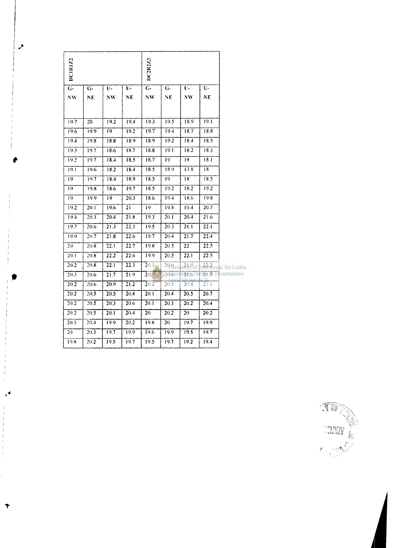| DCTR172        |      |      |      | <b>DC2R2Z3</b>  |      |      |      |                      |
|----------------|------|------|------|-----------------|------|------|------|----------------------|
| $\overline{G}$ | $G-$ | U-   | Ų-   | $\overline{G}$  | $G-$ | υ.   | U-   |                      |
| NW             | NE.  | NW.  | NE   | NW.             | NE.  | УW.  | NE.  |                      |
| 19.7           | 20   | 19.2 | 19.4 | 19.3            | 19.5 | 18.9 | 19.1 |                      |
| 19.6           | 19.9 | 19   | 19.2 | 19.7            | 19.4 | 18.7 | 18.8 |                      |
| 19.4           | 19.8 | 18.8 | 18.9 | 18.9            | 19.2 | 18.4 | 18.5 |                      |
| 19.3           | 19.7 | 18.6 | 18.7 | 18.8            | 19.1 | 18.2 | 18.3 |                      |
| 19.2           | 19.7 | 18.4 | 18.5 | 18.7            | 19   | 18   | 18.1 |                      |
| 19.1           | 19.6 | 18.2 | 18.4 | 18.5            | 18.9 | 17.8 | 18   |                      |
| 19             | 19.7 | 18.4 | 18.9 | 18.5            | 19   | 18   | 18.5 |                      |
| 19             | 19.8 | 18.6 | 19.7 | 18.5            | 19.2 | 18.2 | 19.2 |                      |
| 19             | 19.9 | 19.  | 20.3 | 18.6            | 19.4 | 18.6 | 19.8 |                      |
| 19.2           | 20.1 | 19.6 | 21   | $\overline{19}$ | 19.8 | 19.4 | 20.7 |                      |
| 19.4           | 20.3 | 20.4 | 21.8 | 19.3            | 20.1 | 20.4 | 21.6 |                      |
| 19.7           | 20.6 | 21.3 | 223  | 19.5            | 20.3 | 21.1 | 22.1 |                      |
| 19.9           | 20.7 | 21.8 | 22.6 | 19.7            | 20.4 | 21.7 | 22.4 |                      |
| 20             | 20.8 | 22.1 | 22.7 | 19.8            | 20.5 | 22   | 22.5 |                      |
| 20.1           | 20.8 | 22.2 | 22.6 | 19.9            | 20.5 | 22.1 | 22.5 |                      |
| 20.2           | 20.8 | 22.1 | 22.3 | 20.1            | 20.6 | 21.9 |      | 22.2 uwa. Sri Lanka. |
| 20.3           | 20.6 | 21.7 | 21.9 | 20.1            | 20.6 | 21.6 |      | 21.7 Dessertations   |
| 20.2           | 20.6 | 20.9 | 21.2 | 20.2            | 20.5 | 20.8 | 21.1 |                      |
| 20.2           | 20.5 | 20.5 | 20.8 | 20.1            | 20.4 | 20.5 | 20.7 |                      |
| 20.2           | 20.5 | 20.3 | 20.6 | 20.1            | 20.3 | 20.2 | 20.4 |                      |
| 20.2           | 20.5 | 20.1 | 20.4 | 20              | 20.2 | 20   | 20.2 |                      |
| 20.1           | 20.4 | 19.9 | 20.2 | 19.8            | 20   | 19.7 | 19.9 |                      |
| 20             | 20.3 | 19.7 | 19.9 | 19.6            | 19.9 | 19.5 | 19.7 |                      |
| 19.8           | 20.2 | 19.5 | 19.7 | 19.5            | 19.7 | 19.2 | 19.4 |                      |



7

 $\blacktriangleleft$ 

 $\mathbf{r}$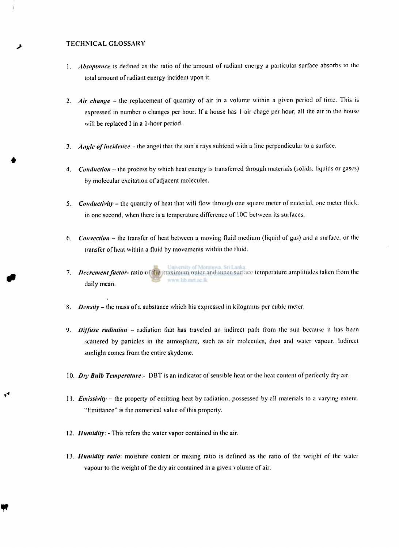#### **TECHNICAL GLOSSARY**

- **1.** *Absoptance* **is defined as the ratio of the amount of radiant energy a particular surface absorbs to the total amount of radiant energy incident upon it.**
- **2.** *Air change* **the replacement of quantity of air in a volume within a given period of time. This is expressed in number o changes per hour. If a house has 1 air chage per hour, all the air in the house will be replaced I in a 1-hour period.**
- **3.** *Angle of incidence -* **the angel that the sun's rays subtend with a line perpendicular to a surface.**
- **4.** *Conduction* **the process by which heat energy is transferred through materials (solids, liquids or gases) by molecular excitation of adjacent molecules.**
- **5.** *Conductivity* **the quantity of heat that will flow through one square meter of material, one meter thick. in one second, when there is a temperature difference of IOC between its surfaces.**
- **6.** *Convection* **the transfer of heat between a moving fluid medium (liquid of gas) and a surface, or the transfer of heat within a fluid by movements within the fluid.**
- **7.** *Decrement factor-* **ratio of the maximum outer and inner surface temperature amplitudes taken from the**  www.lib.mrt.ac.lk **daily mean.**
- **8.** *Density -* **the mass of a substance which his expressed in kilograms per cubic meter.**
- **9.** *Diffuse radiation* **radiation that has traveled an indirect path from the sun because it has been scattered by particles in the atmosphere, such as air molecules, dust and water vapour. Indirect sunlight comes from the entire skydome.**
- **10.** *Dry Bulb Temperature:-* **DBT is an indicator of sensible heat or the heat content of perfectly dry air.**
- **11.** *Emissivity -* **the property of emitting heat by radiation; possessed by all materials to a varying extent.**  "Emittance" is the numerical value of this property.
- 12. *Humidity*: This refers the water vapor contained in the air.
- 13. Humidity ratio: moisture content or mixing ratio is defined as the ratio of the weight of the water vapour to the weight of the dry air contained in a given volume of air.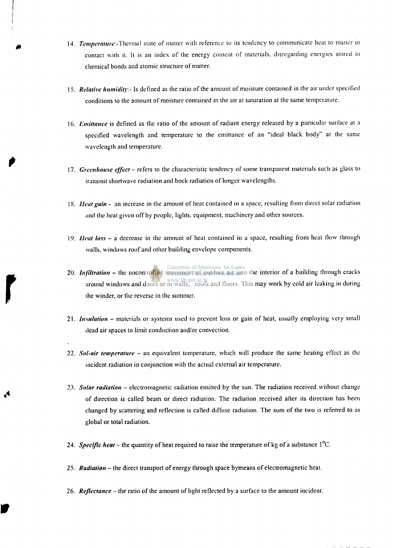- *0* **14.** *Tcmperamw.-Jhcnm]* **state of matter with reference to its tendency to communicate heat to matter in contact with it. It is an index of the energy content of materials, disregarding energies stored in chemical bonds and atomic structure of matter.**
- **15.** *Relative humidity -* **Is defined as the ratio of the amount of moisture contained in the air under specified conditions to the amount of moisture contained in the air at saturation at the same temperature.**
- **16.** *Emittance* **is defined as the ratio of the amount of radiant energy released by a particular surface at a specified wavelength and temperature to the emittance of an "ideal black body" at the same wavelength and temperature.**
- **17.** *Greenhouse effect -* **refers to the characteristic tendency of some transparent materials such as glass to transmit shortwave radiation and bock radiation of longer wavelengths.**
- **IS.** *Heat gain -* **an increase in the amount of heat contained in a space, resulting from direct solar radiation and the heat given off by people, lights, equipment, machinery and other sources.**
- **19.** *11 eat loss -* **a decrease in the amount of heat contained in a space, resulting from heat flow through walls, windows roof and other building envelope components.**
- **20.** *Infiltration* **the uncontrolled movement of outdoor air into the interior of a building through cracks around windows and doors or in walls, roofs and floors. This may work by cold air leaking in during ihc winder, or the reverse in the summer.**
- **21.** *Insulation -* **materials or systems used to prevent loss or gain of heat, usually employing very small dead air spaces to limit conduction and/or convection.**
- **22.** *Sol-air temperature* **an equivalent temperature, which will produce the same heating effect as the incident radiation in conjunction with the actual external air temperature.**
- **23.** *Solar radiation -* **electromagnetic radiation emitted by the sun. The radiation received without change of direction is called beam or direct radiation. The radiation received after its direction has been changed by scattering and reflection is called diffuse radiation. The sum of the two is referred to as global or total radiation.**
- **24.** *Specific heat* **the quantity of heat required to raise the temperature of kg of a substance 1°C.**
- **25.** *Radiation -* **the direct transport of energy through space bymeans of electromagnetic heat.**
- **26.** *Reflectance* **the ratio of the amount of light reflected by a surface to the amount incident.**